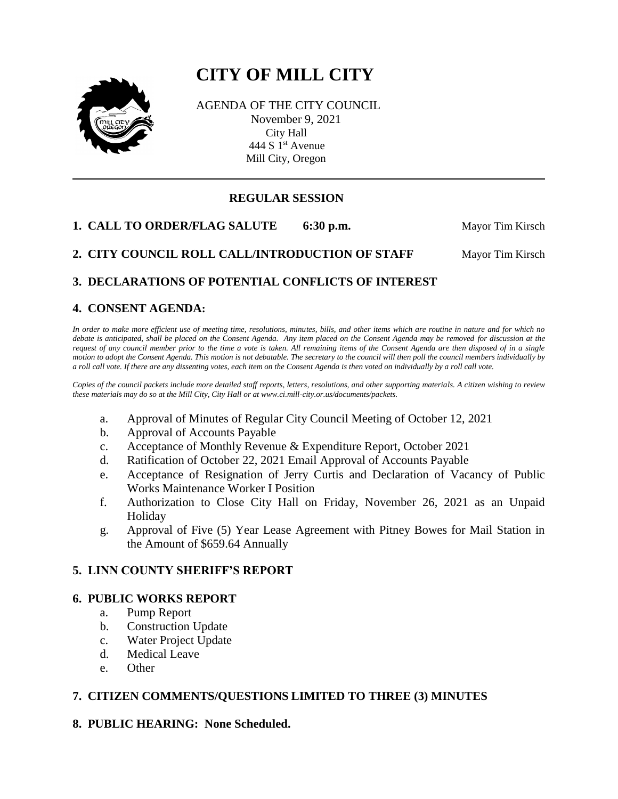# **CITY OF MILL CITY**



AGENDA OF THE CITY COUNCIL November 9, 2021 City Hall 444 S 1<sup>st</sup> Avenue Mill City, Oregon

# **REGULAR SESSION**

**1. CALL TO ORDER/FLAG SALUTE** 6:30 p.m. Mayor Tim Kirsch

**2. CITY COUNCIL ROLL CALL/INTRODUCTION OF STAFF Mayor Tim Kirsch** 

# **3. DECLARATIONS OF POTENTIAL CONFLICTS OF INTEREST**

# **4. CONSENT AGENDA:**

*In order to make more efficient use of meeting time, resolutions, minutes, bills, and other items which are routine in nature and for which no debate is anticipated, shall be placed on the Consent Agenda. Any item placed on the Consent Agenda may be removed for discussion at the request of any council member prior to the time a vote is taken. All remaining items of the Consent Agenda are then disposed of in a single motion to adopt the Consent Agenda. This motion is not debatable. The secretary to the council will then poll the council members individually by a roll call vote. If there are any dissenting votes, each item on the Consent Agenda is then voted on individually by a roll call vote.*

*Copies of the council packets include more detailed staff reports, letters, resolutions, and other supporting materials. A citizen wishing to review these materials may do so at the Mill City, City Hall or at www.ci.mill-city.or.us/documents/packets.*

- a. Approval of Minutes of Regular City Council Meeting of October 12, 2021
- b. Approval of Accounts Payable
- c. Acceptance of Monthly Revenue & Expenditure Report, October 2021
- d. Ratification of October 22, 2021 Email Approval of Accounts Payable
- e. Acceptance of Resignation of Jerry Curtis and Declaration of Vacancy of Public Works Maintenance Worker I Position
- f. Authorization to Close City Hall on Friday, November 26, 2021 as an Unpaid Holiday
- g. Approval of Five (5) Year Lease Agreement with Pitney Bowes for Mail Station in the Amount of \$659.64 Annually

# **5. LINN COUNTY SHERIFF'S REPORT**

#### **6. PUBLIC WORKS REPORT**

- a. Pump Report
- b. Construction Update
- c. Water Project Update
- d. Medical Leave
- e. Other

# **7. CITIZEN COMMENTS/QUESTIONS LIMITED TO THREE (3) MINUTES**

# **8. PUBLIC HEARING: None Scheduled.**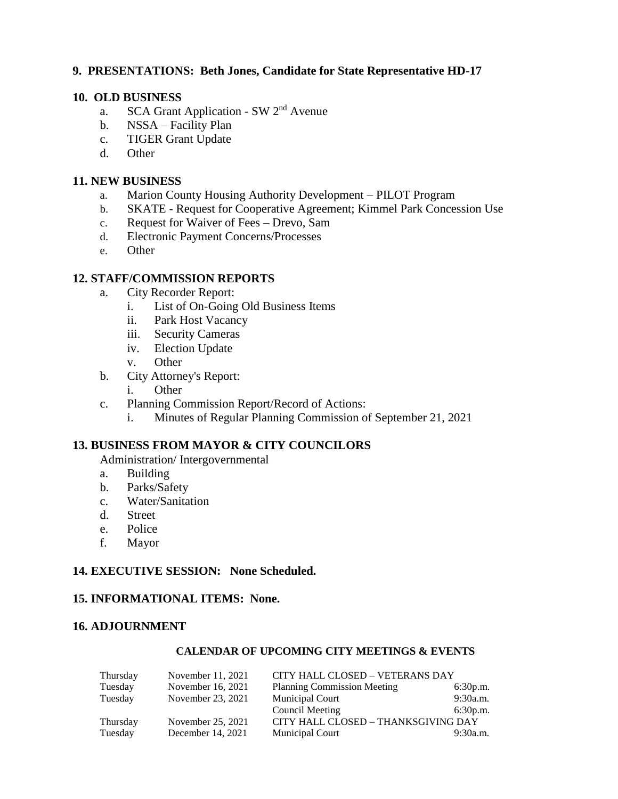## **9. PRESENTATIONS: Beth Jones, Candidate for State Representative HD-17**

#### **10. OLD BUSINESS**

- a. SCA Grant Application SW 2nd Avenue
- b. NSSA Facility Plan
- c. TIGER Grant Update
- d. Other

#### **11. NEW BUSINESS**

- a. Marion County Housing Authority Development PILOT Program
- b. SKATE Request for Cooperative Agreement; Kimmel Park Concession Use
- c. Request for Waiver of Fees Drevo, Sam
- d. Electronic Payment Concerns/Processes
- e. Other

### **12. STAFF/COMMISSION REPORTS**

- a. City Recorder Report:
	- i. List of On-Going Old Business Items
	- ii. Park Host Vacancy
	- iii. Security Cameras
	- iv. Election Update
	- v. Other
- b. City Attorney's Report:
	- i. Other
- c. Planning Commission Report/Record of Actions:
	- i. Minutes of Regular Planning Commission of September 21, 2021

#### **13. BUSINESS FROM MAYOR & CITY COUNCILORS**

Administration/ Intergovernmental

- a. Building
- b. Parks/Safety
- c. Water/Sanitation
- d. Street
- e. Police
- f. Mayor

#### **14. EXECUTIVE SESSION: None Scheduled.**

#### **15. INFORMATIONAL ITEMS: None.**

#### **16. ADJOURNMENT**

#### **CALENDAR OF UPCOMING CITY MEETINGS & EVENTS**

| Thursday | November 11, 2021 | CITY HALL CLOSED - VETERANS DAY     |          |
|----------|-------------------|-------------------------------------|----------|
| Tuesday  | November 16, 2021 | <b>Planning Commission Meeting</b>  | 6:30p.m. |
| Tuesday  | November 23, 2021 | <b>Municipal Court</b>              | 9:30a.m. |
|          |                   | Council Meeting                     | 6:30p.m. |
| Thursday | November 25, 2021 | CITY HALL CLOSED - THANKSGIVING DAY |          |
| Tuesday  | December 14, 2021 | Municipal Court                     | 9:30a.m. |